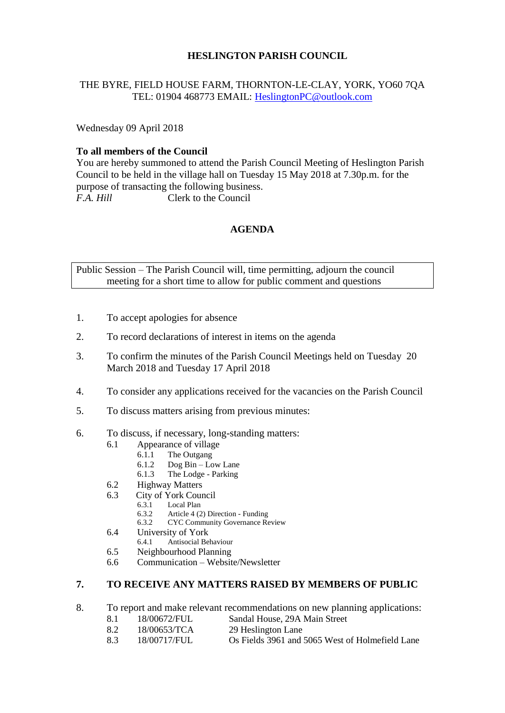# **HESLINGTON PARISH COUNCIL**

# THE BYRE, FIELD HOUSE FARM, THORNTON-LE-CLAY, YORK, YO60 7QA TEL: 01904 468773 EMAIL: [HeslingtonPC@outlook.com](mailto:HeslingtonPC@outlook.com)

Wednesday 09 April 2018

### **To all members of the Council**

You are hereby summoned to attend the Parish Council Meeting of Heslington Parish Council to be held in the village hall on Tuesday 15 May 2018 at 7.30p.m. for the purpose of transacting the following business. *F.A. Hill* Clerk to the Council

# **AGENDA**

Public Session – The Parish Council will, time permitting, adjourn the council meeting for a short time to allow for public comment and questions

- 1. To accept apologies for absence
- 2. To record declarations of interest in items on the agenda
- 3. To confirm the minutes of the Parish Council Meetings held on Tuesday 20 March 2018 and Tuesday 17 April 2018
- 4. To consider any applications received for the vacancies on the Parish Council
- 5. To discuss matters arising from previous minutes:
- 6. To discuss, if necessary, long-standing matters:
	- 6.1 Appearance of village
		- 6.1.1 The Outgang
		- 6.1.2 Dog Bin Low Lane
		- 6.1.3 The Lodge Parking
	- 6.2 Highway Matters
	- 6.3 City of York Council
		- 6.3.1 Local Plan<br>6.3.2 Article 4 (2
		- 6.3.2 Article 4 (2) Direction Funding
		- 6.3.2 CYC Community Governance Review
	- 6.4 University of York<br>6.4.1 Antisocial Be
		- 6.4.1 Antisocial Behaviour
	- 6.5 Neighbourhood Planning
	- 6.6 Communication Website/Newsletter

## **7. TO RECEIVE ANY MATTERS RAISED BY MEMBERS OF PUBLIC**

- 8. To report and make relevant recommendations on new planning applications:
	- 8.1 18/00672/FUL Sandal House, 29A Main Street
	- 8.2 18/00653/TCA 29 Heslington Lane
	- 8.3 18/00717/FUL Os Fields 3961 and 5065 West of Holmefield Lane